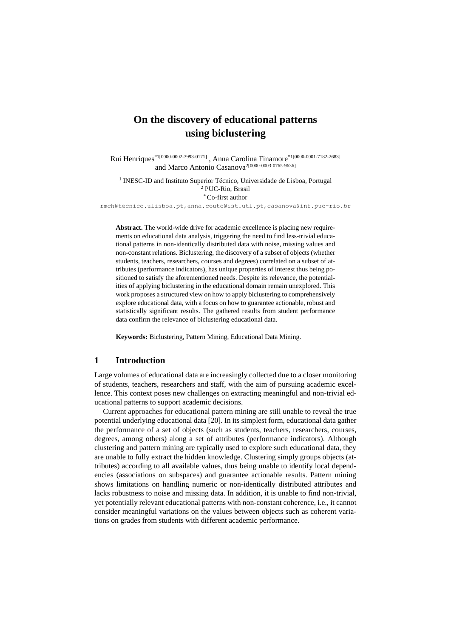# **On the discovery of educational patterns using biclustering**

Rui Henriques<sup>\*1[0000-0002-3993-0171]</sup>, Anna Carolina Finamore<sup>\*1[0000-0001-7182-2683]</sup> and Marco Antonio Casanova2[0000-0003-0765-9636]

<sup>1</sup> INESC-ID and Instituto Superior Técnico, Universidade de Lisboa, Portugal <sup>2</sup> PUC-Rio, Brasil \* Co-first author

rmch@tecnico.ulisboa.pt,anna.couto@ist.utl.pt,casanova@inf.puc-rio.br

**Abstract.** The world-wide drive for academic excellence is placing new requirements on educational data analysis, triggering the need to find less-trivial educational patterns in non-identically distributed data with noise, missing values and non-constant relations. Biclustering, the discovery of a subset of objects (whether students, teachers, researchers, courses and degrees) correlated on a subset of attributes (performance indicators), has unique properties of interest thus being positioned to satisfy the aforementioned needs. Despite its relevance, the potentialities of applying biclustering in the educational domain remain unexplored. This work proposes a structured view on how to apply biclustering to comprehensively explore educational data, with a focus on how to guarantee actionable, robust and statistically significant results. The gathered results from student performance data confirm the relevance of biclustering educational data.

**Keywords:** Biclustering, Pattern Mining, Educational Data Mining.

## **1 Introduction**

Large volumes of educational data are increasingly collected due to a closer monitoring of students, teachers, researchers and staff, with the aim of pursuing academic excellence. This context poses new challenges on extracting meaningful and non-trivial educational patterns to support academic decisions.

Current approaches for educational pattern mining are still unable to reveal the true potential underlying educational data [20]. In its simplest form, educational data gather the performance of a set of objects (such as students, teachers, researchers, courses, degrees, among others) along a set of attributes (performance indicators). Although clustering and pattern mining are typically used to explore such educational data, they are unable to fully extract the hidden knowledge. Clustering simply groups objects (attributes) according to all available values, thus being unable to identify local dependencies (associations on subspaces) and guarantee actionable results. Pattern mining shows limitations on handling numeric or non-identically distributed attributes and lacks robustness to noise and missing data. In addition, it is unable to find non-trivial, yet potentially relevant educational patterns with non-constant coherence, i.e., it cannot consider meaningful variations on the values between objects such as coherent variations on grades from students with different academic performance.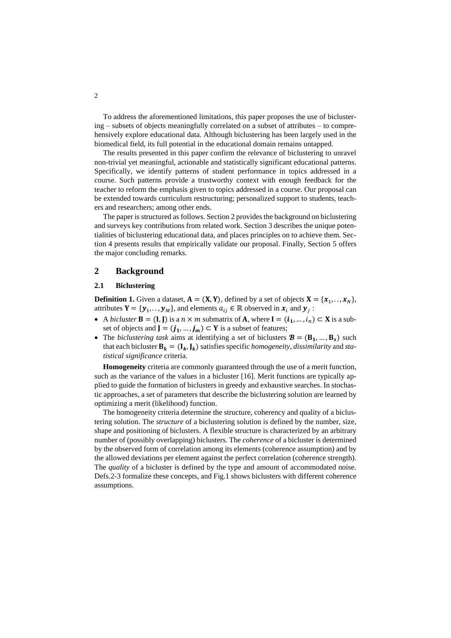To address the aforementioned limitations, this paper proposes the use of biclustering – subsets of objects meaningfully correlated on a subset of attributes – to comprehensively explore educational data. Although biclustering has been largely used in the biomedical field, its full potential in the educational domain remains untapped.

The results presented in this paper confirm the relevance of biclustering to unravel non-trivial yet meaningful, actionable and statistically significant educational patterns. Specifically, we identify patterns of student performance in topics addressed in a course. Such patterns provide a trustworthy context with enough feedback for the teacher to reform the emphasis given to topics addressed in a course. Our proposal can be extended towards curriculum restructuring; personalized support to students, teachers and researchers; among other ends.

The paper is structured as follows. Section 2 provides the background on biclustering and surveys key contributions from related work. Section 3 describes the unique potentialities of biclustering educational data, and places principles on to achieve them. Section 4 presents results that empirically validate our proposal. Finally, Section 5 offers the major concluding remarks.

# **2 Background**

## **2.1 Biclustering**

**Definition 1.** Given a dataset,  $A = (X, Y)$ , defined by a set of objects  $X = \{x_1, ..., x_N\}$ , attributes  $Y = \{y_1, ..., y_M\}$ , and elements  $a_{ij} \in \mathbb{R}$  observed in  $x_i$  and  $y_j$ :

- A *bicluster*  $\mathbf{B} = (\mathbf{I}, \mathbf{J})$  is a  $n \times m$  submatrix of **A**, where  $\mathbf{I} = (\mathbf{i}_1, ..., \mathbf{i}_n) \subset \mathbf{X}$  is a subset of objects and  $J = (j_1, ..., j_m) \subset Y$  is a subset of features;
- The *biclustering task* aims at identifying a set of biclusters  $\mathbf{B} = (\mathbf{B}_1, \dots, \mathbf{B}_s)$  such that each bicluster  $\mathbf{B}_k = (\mathbf{I}_k, \mathbf{J}_k)$  satisfies specific *homogeneity*, *dissimilarity* and *statistical significance* criteria.

**Homogeneity** criteria are commonly guaranteed through the use of a merit function, such as the variance of the values in a bicluster [16]. Merit functions are typically applied to guide the formation of biclusters in greedy and exhaustive searches. In stochastic approaches, a set of parameters that describe the biclustering solution are learned by optimizing a merit (likelihood) function.

The homogeneity criteria determine the structure, coherency and quality of a biclustering solution. The *structure* of a biclustering solution is defined by the number, size, shape and positioning of biclusters. A flexible structure is characterized by an arbitrary number of (possibly overlapping) biclusters. The *coherence* of a bicluster is determined by the observed form of correlation among its elements (coherence assumption) and by the allowed deviations per element against the perfect correlation (coherence strength). The *quality* of a bicluster is defined by the type and amount of accommodated noise. Defs.2-3 formalize these concepts, and Fig.1 shows biclusters with different coherence assumptions.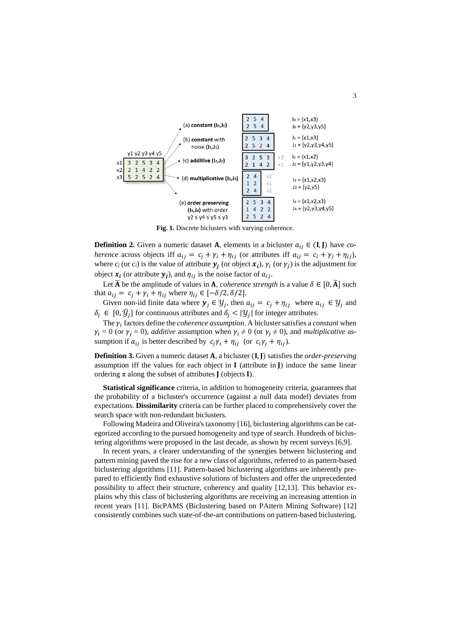

**Fig. 1.** Discrete biclusters with varying coherence.

**Definition 2.** Given a numeric dataset **A**, elements in a bicluster  $a_{ij} \in (I, J)$  have *coherence* across objects iff  $a_{ij} = c_j + \gamma_i + \eta_{ij}$  (or attributes iff  $a_{ij} = c_i + \gamma_j + \eta_{ij}$ ), where  $c_j$  (or  $c_i$ ) is the value of attribute  $y_j$  (or object  $x_i$ ),  $\gamma_i$  (or  $\gamma_j$ ) is the adjustment for object  $x_i$  (or attribute  $y_j$ ), and  $\eta_{ij}$  is the noise factor of  $a_{ij}$ .

Let  $\overline{A}$  be the amplitude of values in **A**, *coherence strength* is a value  $\delta \in [0, \overline{A}]$  such that  $a_{ij} = c_j + \gamma_i + \eta_{ij}$  where  $\eta_{ij} \in [-\delta/2, \delta/2]$ .

Given non-iid finite data where  $y_j \in y_j$ , then  $a_{ij} = c_j + \eta_{ij}$  where  $a_{ij} \in y_j$  and  $δ<sub>j</sub> ∈ [0, ∅<sub>j</sub>]$  for continuous attributes and  $δ<sub>j</sub> < |y<sub>j</sub>|$  for integer attributes.

The  $\gamma_i$  factors define the *coherence assumption*. A bicluster satisfies a *constant* when  $\gamma_i = 0$  (or  $\gamma_i = 0$ ), *additive* assumption when  $\gamma_i \neq 0$  (or  $\gamma_i \neq 0$ ), and *multiplicative* assumption if  $a_{ij}$  is better described by  $c_j \gamma_i + \eta_{ij}$  (or  $c_i \gamma_j + \eta_{ij}$ ).

**Definition 3.** Given a numeric dataset **A**, a bicluster (I, J) satisfies the *order-preserving* assumption iff the values for each object in  $I$  (attribute in  $J$ ) induce the same linear ordering  $\pi$  along the subset of attributes **J** (objects **I**).

**Statistical significance** criteria, in addition to homogeneity criteria, guarantees that the probability of a bicluster's occurrence (against a null data model) deviates from expectations. **Dissimilarity** criteria can be further placed to comprehensively cover the search space with non-redundant biclusters.

Following Madeira and Oliveira's taxonomy [16], biclustering algorithms can be categorized according to the pursued homogeneity and type of search. Hundreds of biclustering algorithms were proposed in the last decade, as shown by recent surveys [6,9].

In recent years, a clearer understanding of the synergies between biclustering and pattern mining paved the rise for a new class of algorithms, referred to as pattern-based biclustering algorithms [11]. Pattern-based biclustering algorithms are inherently prepared to efficiently find exhaustive solutions of biclusters and offer the unprecedented possibility to affect their structure, coherency and quality [12,13]. This behavior explains why this class of biclustering algorithms are receiving an increasing attention in recent years [11]. BicPAMS (Biclustering based on PAttern Mining Software) [12] consistently combines such state-of-the-art contributions on pattern-based biclustering.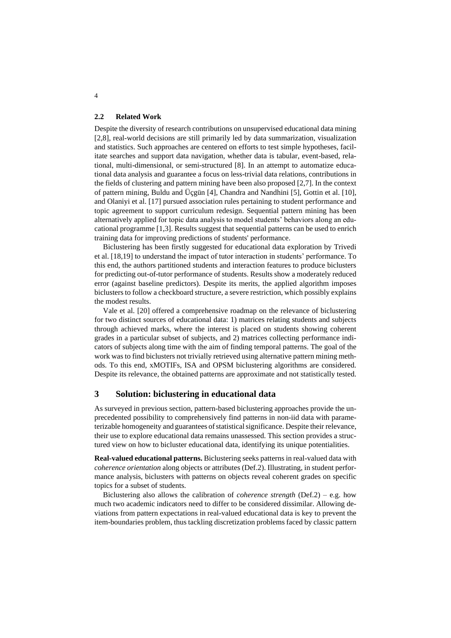#### **2.2 Related Work**

Despite the diversity of research contributions on unsupervised educational data mining [2,8], real-world decisions are still primarily led by data summarization, visualization and statistics. Such approaches are centered on efforts to test simple hypotheses, facilitate searches and support data navigation, whether data is tabular, event-based, relational, multi-dimensional, or semi-structured [8]. In an attempt to automatize educational data analysis and guarantee a focus on less-trivial data relations, contributions in the fields of clustering and pattern mining have been also proposed [2,7]. In the context of pattern mining, Buldu and Üçgün [4], Chandra and Nandhini [5], Gottin et al. [10], and Olaniyi et al. [17] pursued association rules pertaining to student performance and topic agreement to support curriculum redesign. Sequential pattern mining has been alternatively applied for topic data analysis to model students' behaviors along an educational programme [1,3]. Results suggest that sequential patterns can be used to enrich training data for improving predictions of students' performance.

Biclustering has been firstly suggested for educational data exploration by Trivedi et al. [18,19] to understand the impact of tutor interaction in students' performance. To this end, the authors partitioned students and interaction features to produce biclusters for predicting out-of-tutor performance of students. Results show a moderately reduced error (against baseline predictors). Despite its merits, the applied algorithm imposes biclusters to follow a checkboard structure, a severe restriction, which possibly explains the modest results.

Vale et al. [20] offered a comprehensive roadmap on the relevance of biclustering for two distinct sources of educational data: 1) matrices relating students and subjects through achieved marks, where the interest is placed on students showing coherent grades in a particular subset of subjects, and 2) matrices collecting performance indicators of subjects along time with the aim of finding temporal patterns. The goal of the work was to find biclusters not trivially retrieved using alternative pattern mining methods. To this end, xMOTIFs, ISA and OPSM biclustering algorithms are considered. Despite its relevance, the obtained patterns are approximate and not statistically tested.

## **3 Solution: biclustering in educational data**

As surveyed in previous section, pattern-based biclustering approaches provide the unprecedented possibility to comprehensively find patterns in non-iid data with parameterizable homogeneity and guarantees of statistical significance. Despite their relevance, their use to explore educational data remains unassessed. This section provides a structured view on how to bicluster educational data, identifying its unique potentialities.

**Real-valued educational patterns.** Biclustering seeks patterns in real-valued data with *coherence orientation* along objects or attributes (Def.2). Illustrating, in student performance analysis, biclusters with patterns on objects reveal coherent grades on specific topics for a subset of students.

Biclustering also allows the calibration of *coherence strength* (Def.2) – e.g. how much two academic indicators need to differ to be considered dissimilar. Allowing deviations from pattern expectations in real-valued educational data is key to prevent the item-boundaries problem, thus tackling discretization problems faced by classic pattern

4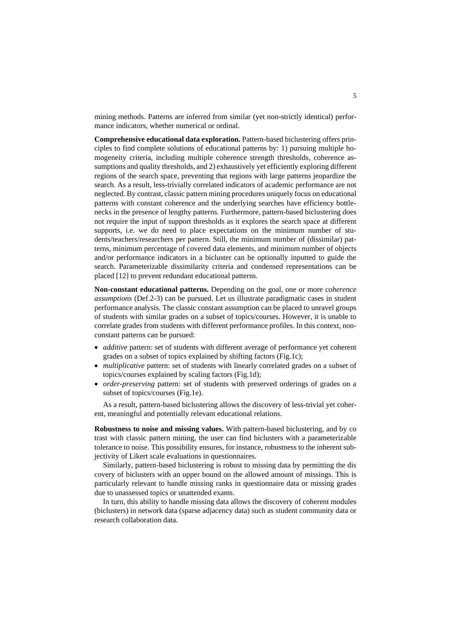mining methods. Patterns are inferred from similar (yet non-strictly identical) performance indicators, whether numerical or ordinal.

**Comprehensive educational data exploration.** Pattern-based biclustering offers principles to find complete solutions of educational patterns by: 1) pursuing multiple homogeneity criteria, including multiple coherence strength thresholds, coherence assumptions and quality thresholds, and 2) exhaustively yet efficiently exploring different regions of the search space, preventing that regions with large patterns jeopardize the search. As a result, less-trivially correlated indicators of academic performance are not neglected. By contrast, classic pattern mining procedures uniquely focus on educational patterns with constant coherence and the underlying searches have efficiency bottlenecks in the presence of lengthy patterns. Furthermore, pattern-based biclustering does not require the input of support thresholds as it explores the search space at different supports, i.e. we do need to place expectations on the minimum number of students/teachers/researchers per pattern. Still, the minimum number of (dissimilar) patterns, minimum percentage of covered data elements, and minimum number of objects and/or performance indicators in a bicluster can be optionally inputted to guide the search. Parameterizable dissimilarity criteria and condensed representations can be placed [12] to prevent redundant educational patterns.

**Non-constant educational patterns.** Depending on the goal, one or more *coherence assumptions* (Def.2-3) can be pursued. Let us illustrate paradigmatic cases in student performance analysis. The classic constant assumption can be placed to unravel groups of students with similar grades on a subset of topics/courses. However, it is unable to correlate grades from students with different performance profiles. In this context, nonconstant patterns can be pursued:

- *additive* pattern: set of students with different average of performance yet coherent grades on a subset of topics explained by shifting factors (Fig.1c);
- *multiplicative* pattern: set of students with linearly correlated grades on a subset of topics/courses explained by scaling factors (Fig.1d);
- *order-preserving* pattern: set of students with preserved orderings of grades on a subset of topics/courses (Fig.1e).

As a result, pattern-based biclustering allows the discovery of less-trivial yet coherent, meaningful and potentially relevant educational relations.

**Robustness to noise and missing values.** With pattern-based biclustering, and by co trast with classic pattern mining, the user can find biclusters with a parameterizable tolerance to noise. This possibility ensures, for instance, robustness to the inherent subjectivity of Likert scale evaluations in questionnaires.

Similarly, pattern-based biclustering is robust to missing data by permitting the dis covery of biclusters with an upper bound on the allowed amount of missings. This is particularly relevant to handle missing ranks in questionnaire data or missing grades due to unassessed topics or unattended exams.

In turn, this ability to handle missing data allows the discovery of coherent modules (biclusters) in network data (sparse adjacency data) such as student community data or research collaboration data.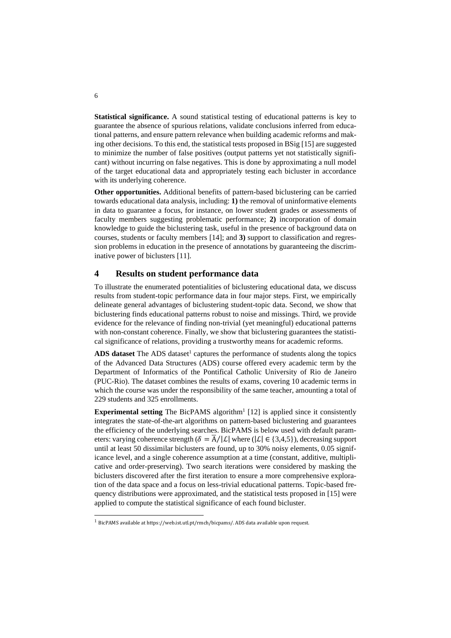**Statistical significance.** A sound statistical testing of educational patterns is key to guarantee the absence of spurious relations, validate conclusions inferred from educational patterns, and ensure pattern relevance when building academic reforms and making other decisions. To this end, the statistical tests proposed in BSig [15] are suggested to minimize the number of false positives (output patterns yet not statistically significant) without incurring on false negatives. This is done by approximating a null model of the target educational data and appropriately testing each bicluster in accordance with its underlying coherence.

**Other opportunities.** Additional benefits of pattern-based biclustering can be carried towards educational data analysis, including: **1)** the removal of uninformative elements in data to guarantee a focus, for instance, on lower student grades or assessments of faculty members suggesting problematic performance; **2)** incorporation of domain knowledge to guide the biclustering task, useful in the presence of background data on courses, students or faculty members [14]; and **3)** support to classification and regression problems in education in the presence of annotations by guaranteeing the discriminative power of biclusters [11].

## **4 Results on student performance data**

To illustrate the enumerated potentialities of biclustering educational data, we discuss results from student-topic performance data in four major steps. First, we empirically delineate general advantages of biclustering student-topic data. Second, we show that biclustering finds educational patterns robust to noise and missings. Third, we provide evidence for the relevance of finding non-trivial (yet meaningful) educational patterns with non-constant coherence. Finally, we show that biclustering guarantees the statistical significance of relations, providing a trustworthy means for academic reforms.

ADS dataset The ADS dataset<sup>1</sup> captures the performance of students along the topics of the Advanced Data Structures (ADS) course offered every academic term by the Department of Informatics of the Pontifical Catholic University of Rio de Janeiro (PUC-Rio). The dataset combines the results of exams, covering 10 academic terms in which the course was under the responsibility of the same teacher, amounting a total of 229 students and 325 enrollments.

**Experimental setting** The BicPAMS algorithm<sup>1</sup> [12] is applied since it consistently integrates the state-of-the-art algorithms on pattern-based biclustering and guarantees the efficiency of the underlying searches. BicPAMS is below used with default parameters: varying coherence strength  $(\delta = A/|\mathcal{L}|$  where  $(|\mathcal{L}| \in \{3,4,5\})$ , decreasing support until at least 50 dissimilar biclusters are found, up to 30% noisy elements, 0.05 significance level, and a single coherence assumption at a time (constant, additive, multiplicative and order-preserving). Two search iterations were considered by masking the biclusters discovered after the first iteration to ensure a more comprehensive exploration of the data space and a focus on less-trivial educational patterns. Topic-based frequency distributions were approximated, and the statistical tests proposed in [15] were applied to compute the statistical significance of each found bicluster.

 $\overline{a}$ 

<sup>1</sup> BicPAMS available at https://web.ist.utl.pt/rmch/bicpams/. ADS data available upon request.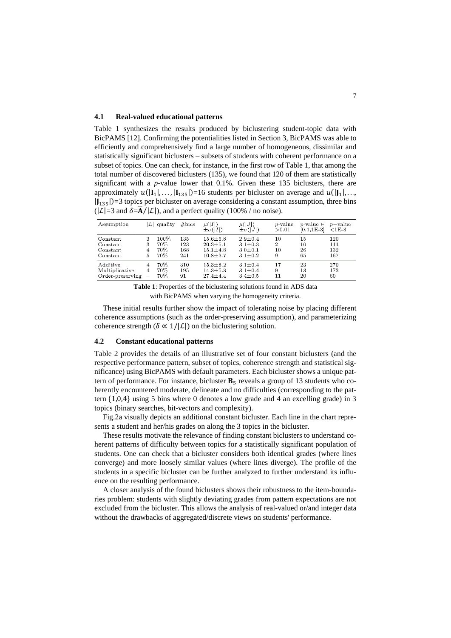## **4.1 Real-valued educational patterns**

Table 1 synthesizes the results produced by biclustering student-topic data with BicPAMS [12]. Confirming the potentialities listed in Section 3, BicPAMS was able to efficiently and comprehensively find a large number of homogeneous, dissimilar and statistically significant biclusters – subsets of students with coherent performance on a subset of topics. One can check, for instance, in the first row of Table 1, that among the total number of discovered biclusters (135), we found that 120 of them are statistically significant with a *p*-value lower that 0.1%. Given these 135 biclusters, there are approximately  $u(|I_1|, \ldots, |I_{135}|)=16$  students per bicluster on average and  $u(|J_1|, \ldots,$  $|J_{135}|$ )=3 topics per bicluster on average considering a constant assumption, three bins  $(|\mathcal{L}|=3$  and  $\delta = \overline{A}/|\mathcal{L}|$ ), and a perfect quality (100% / no noise).

| Assumption       | Ll | quality | $#$ bics | $\mu( I )$<br>$\pm \sigma( I )$ | $\mu( J )$<br>$\pm \sigma( J )$ | p-value<br>> 0.01 | $p$ -value $\in$<br>$[0.1.1E-3]$ | $p$ -value<br>${<}1E-3$ |
|------------------|----|---------|----------|---------------------------------|---------------------------------|-------------------|----------------------------------|-------------------------|
| Constant         | З  | 100%    | 135      | $15.6 + 5.8$                    | $2.9 + 0.4$                     | 10                | 15                               | 120                     |
| Constant         | З  | 70%     | 123      | $20.3 + 5.1$                    | $3.1 + 0.3$                     | 2                 | 10                               | 111                     |
| Constant         | 4  | 70%     | 168      | $15.1 \pm 4.8$                  | $3.0 \pm 0.1$                   | 10                | 26                               | 132                     |
| Constant         | 5. | 70%     | 241      | $10.8 + 3.7$                    | $3.1 + 0.2$                     | 9                 | 65                               | 167                     |
| Additive         | 4  | 70%     | 310      | $15.3 \pm 8.2$                  | $3.1 \pm 0.4$                   | 17                | 23                               | 270                     |
| Multiplicative   |    | 70%     | 195      | $14.3 + 5.3$                    | $3.1 + 0.4$                     | 9                 | 13                               | 173                     |
| Order-preserving |    | 70%     | 91       | $27.4 + 4.4$                    | $3.4 + 0.5$                     | 11                | 20                               | 60                      |

**Table 1**: Properties of the biclustering solutions found in ADS data with BicPAMS when varying the homogeneity criteria.

These initial results further show the impact of tolerating noise by placing different coherence assumptions (such as the order-preserving assumption), and parameterizing coherence strength ( $\delta \propto 1/|\mathcal{L}|$ ) on the biclustering solution.

#### **4.2 Constant educational patterns**

Table 2 provides the details of an illustrative set of four constant biclusters (and the respective performance pattern, subset of topics, coherence strength and statistical significance) using BicPAMS with default parameters. Each bicluster shows a unique pattern of performance. For instance, bicluster  $B_5$  reveals a group of 13 students who coherently encountered moderate, delineate and no difficulties (corresponding to the pattern {1,0,4} using 5 bins where 0 denotes a low grade and 4 an excelling grade) in 3 topics (binary searches, bit-vectors and complexity).

Fig.2a visually depicts an additional constant bicluster. Each line in the chart represents a student and her/his grades on along the 3 topics in the bicluster.

These results motivate the relevance of finding constant biclusters to understand coherent patterns of difficulty between topics for a statistically significant population of students. One can check that a bicluster considers both identical grades (where lines converge) and more loosely similar values (where lines diverge). The profile of the students in a specific bicluster can be further analyzed to further understand its influence on the resulting performance.

A closer analysis of the found biclusters shows their robustness to the item-boundaries problem: students with slightly deviating grades from pattern expectations are not excluded from the bicluster. This allows the analysis of real-valued or/and integer data without the drawbacks of aggregated/discrete views on students' performance.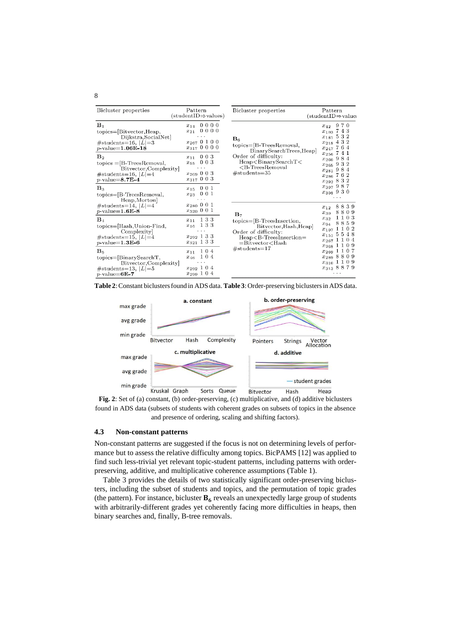| Bicluster properties                                                                                                                                                     | Pattern<br>$(studentID \Rightarrow values)$                                                                            | Bicluster properties                                                                                                                              | Pattern<br>$(studentID \Rightarrow value$                                                                                                                                                                                                                    |  |
|--------------------------------------------------------------------------------------------------------------------------------------------------------------------------|------------------------------------------------------------------------------------------------------------------------|---------------------------------------------------------------------------------------------------------------------------------------------------|--------------------------------------------------------------------------------------------------------------------------------------------------------------------------------------------------------------------------------------------------------------|--|
| $\mathbf{B}_1$<br>topics=[Bitvector, Heap,<br>Dijkstra, SocialNet]<br>$\#$ students=16, $ L =3$<br>$p$ -value=1.06E-18<br>$\mathbf{B}_2$<br>$topics = [B-Tree8$ Removal, | $x_{14}$ 0000<br>$x_{21}$ 0000<br>$\cdots$<br>$x_{267}$ 0 1 0 0<br>$x_{317}$ 0 0 0 0<br>$x_{11}$ 003<br>$x_{55}$ 0 0 3 | $B_6$<br>topics=[B-TreesRemoval,<br>BinarySearchTrees,Heap<br>Order of difficulty:<br>Heap < BinarySearchT <                                      | $x_{42}$ 970<br>$x_{103}$ 7 4 3<br>$x_{181}$ 5 3 2<br>$x_{218}$ 4 3 2<br>$x_{247}$ 7 6 4<br>$x_{256}$ 7 4 1<br>$x_{260}$ 984<br>$x_{265}$ 9 3 2                                                                                                              |  |
| Bitvector, Complexity<br>$\#$ students=16, $ L =4$<br>$p$ -value=8.7E-4                                                                                                  | $\sim$ $\sim$ $\sim$<br>$x_{269}$ 0 0 3<br>$x_{317}$ 0 0 3                                                             | $\langle$ B-TreesRemoval<br>$# students = 35$                                                                                                     | $x_{281}$ 984<br>$x_{286}$ 7 6 2<br>$x_{292}$ 8 3 2<br>$x_{307}$ 9 8 7<br>$x_{308}$ 9 3 0<br>.<br>$x_{12}$ 8839<br>8809<br>$x_{30}$<br>1103<br>$x_{32}$<br>$x_{94}$ 8859<br>$x_{107}$ 1 1 0 2<br>$x_{151}$ 5 5 4 8<br>$x_{267}$ 1 1 0 4<br>$x_{268}$ 1 1 0 9 |  |
| $\mathbf{B}_3$<br>topics=[B-TreesRemoval,<br>Heap, Morton<br>$\#$ students=14, $ L =4$                                                                                   | $x_{15}$ 0 0 1<br>$x_{23}$ 0 0 1<br>$\cdots$<br>$x_{280}$ 0 0 1<br>$x_{320}$ 0 0 1                                     |                                                                                                                                                   |                                                                                                                                                                                                                                                              |  |
| $p$ -value=1.6E-8<br>$\mathbf{B}_4$<br>topics=[Hash, Union-Find,<br>Complexity<br>$\#$ students=15, $ L =4$<br>$p$ -value=1.3E-6                                         | $x_{11}$ 133<br>$x_{16}$ 133<br>$\sim$ $\sim$ $\sim$<br>$x_{292}$ 133<br>$x_{321}$ 1 3 3                               | B <sub>7</sub><br>topics=[B-TreesInsertion,<br>Bitvector, Hash, Heap<br>Order of difficulty:<br>$Heap < B-TreesInsertion =$<br>$=Bitvector<$ Hash |                                                                                                                                                                                                                                                              |  |
| $\mathbf{B}_5$<br>topics=[BinarySearchT,<br>Bitvector, Complexity<br>$\#$ students=13, $ L =5$<br>$p$ -value=6E-7                                                        | $x_{11}$ 104<br>$x_{46}$ 104<br>$\cdots$<br>$x_{292}$ 1 0 4<br>$x_{299}$ 104                                           | $# students = 17$                                                                                                                                 | $x_{269}$ 1 1 0 7<br>$x_{289}$ 8 8 0 9<br>$x_{310}$ 1 1 0 9<br>$x_{313}$ 8 8 7 9<br>.                                                                                                                                                                        |  |





**Fig. 2**: Set of (a) constant, (b) order-preserving, (c) multiplicative, and (d) additive biclusters found in ADS data (subsets of students with coherent grades on subsets of topics in the absence and presence of ordering, scaling and shifting factors).

## **4.3 Non-constant patterns**

Non-constant patterns are suggested if the focus is not on determining levels of performance but to assess the relative difficulty among topics. BicPAMS [12] was applied to find such less-trivial yet relevant topic-student patterns, including patterns with orderpreserving, additive, and multiplicative coherence assumptions (Table 1).

Table 3 provides the details of two statistically significant order-preserving biclusters, including the subset of students and topics, and the permutation of topic grades (the pattern). For instance, bicluster  $B_6$  reveals an unexpectedly large group of students with arbitrarily-different grades yet coherently facing more difficulties in heaps, then binary searches and, finally, B-tree removals.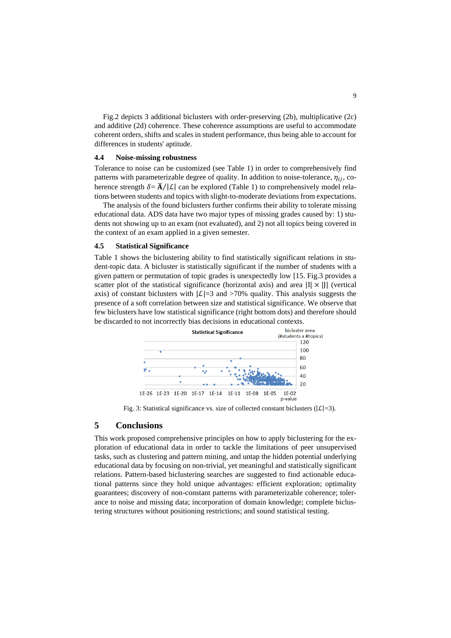Fig.2 depicts 3 additional biclusters with order-preserving (2b), multiplicative (2c) and additive (2d) coherence. These coherence assumptions are useful to accommodate coherent orders, shifts and scales in student performance, thus being able to account for differences in students' aptitude.

## **4.4 Noise-missing robustness**

Tolerance to noise can be customized (see Table 1) in order to comprehensively find patterns with parameterizable degree of quality. In addition to noise-tolerance,  $\eta_{ij}$ , coherence strength  $\delta = \overline{A}/|\mathcal{L}|$  can be explored (Table 1) to comprehensively model relations between students and topics with slight-to-moderate deviations from expectations.

The analysis of the found biclusters further confirms their ability to tolerate missing educational data. ADS data have two major types of missing grades caused by: 1) students not showing up to an exam (not evaluated), and 2) not all topics being covered in the context of an exam applied in a given semester.

#### **4.5 Statistical Significance**

Table 1 shows the biclustering ability to find statistically significant relations in student-topic data. A bicluster is statistically significant if the number of students with a given pattern or permutation of topic grades is unexpectedly low [15. Fig.3 provides a scatter plot of the statistical significance (horizontal axis) and area  $|I| \times |J|$  (vertical axis) of constant biclusters with  $|\mathcal{L}|=3$  and >70% quality. This analysis suggests the presence of a soft correlation between size and statistical significance. We observe that few biclusters have low statistical significance (right bottom dots) and therefore should be discarded to not incorrectly bias decisions in educational contexts.



Fig. 3: Statistical significance vs. size of collected constant biclusters ( $|L|=3$ ).

## **5 Conclusions**

This work proposed comprehensive principles on how to apply biclustering for the exploration of educational data in order to tackle the limitations of peer unsupervised tasks, such as clustering and pattern mining, and untap the hidden potential underlying educational data by focusing on non-trivial, yet meaningful and statistically significant relations. Pattern-based biclustering searches are suggested to find actionable educational patterns since they hold unique advantages: efficient exploration; optimality guarantees; discovery of non-constant patterns with parameterizable coherence; tolerance to noise and missing data; incorporation of domain knowledge; complete biclustering structures without positioning restrictions; and sound statistical testing.